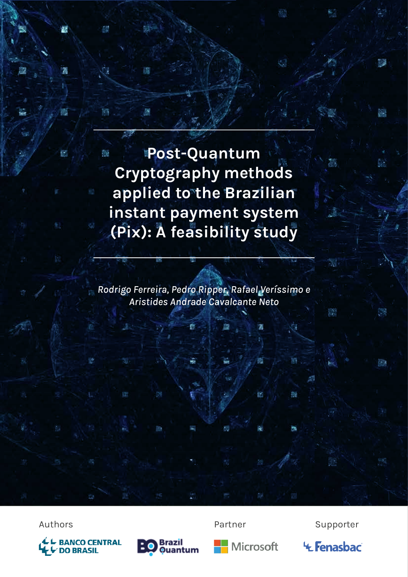**Post-Quantum**  Ō. **Cryptography methods Exampled to the Brazilian instant payment system EXECUTE: A feasibility study** 

遇

*Rodrigo Ferreira, Pedro Ripper, Rafael Veríssimo e Aristides Andrade Cavalcante Neto*

ē.





Authors **Partner** Supporter



插

医

m

Ñ.

**'+ Fenasbac** 

盄

١.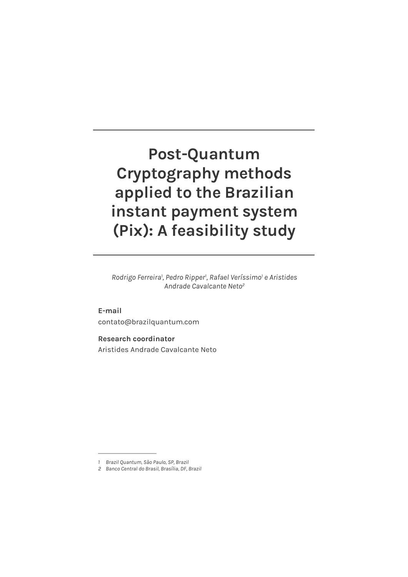# **Post-Quantum Cryptography methods applied to the Brazilian instant payment system (Pix): A feasibility study**

*Rodrigo Ferreira1 , Pedro Ripper1 , Rafael Veríssimo1 e Aristides Andrade Cavalcante Neto2*

**E-mail** contato@brazilquantum.com

**Research coordinator** Aristides Andrade Cavalcante Neto

*<sup>1</sup> Brazil Quantum, São Paulo, SP, Brazil*

*<sup>2</sup> Banco Central do Brasil, Brasília, DF, Brazil*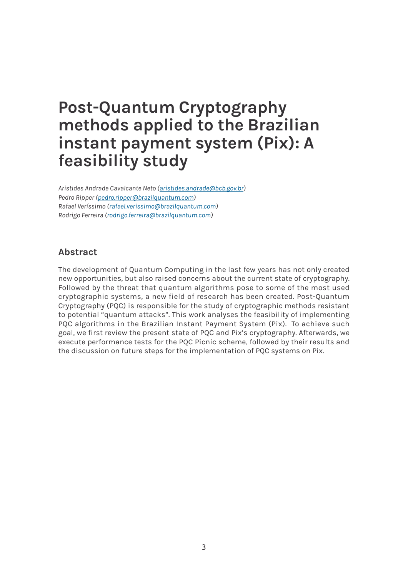# **Post-Quantum Cryptography methods applied to the Brazilian instant payment system (Pix): A feasibility study**

*Aristides Andrade Cavalcante Neto (aristides.andrade@bcb.gov.br) Pedro Ripper (pedro.ripper@brazilquantum.com) Rafael Veríssimo (rafael.verissimo@brazilquantum.com) Rodrigo Ferreira (rodrigo.ferreira@brazilquantum.com)*

## **Abstract**

The development of Quantum Computing in the last few years has not only created new opportunities, but also raised concerns about the current state of cryptography. Followed by the threat that quantum algorithms pose to some of the most used cryptographic systems, a new field of research has been created. Post-Quantum Cryptography (PQC) is responsible for the study of cryptographic methods resistant to potential "quantum attacks". This work analyses the feasibility of implementing PQC algorithms in the Brazilian Instant Payment System (Pix). To achieve such goal, we first review the present state of PQC and Pix's cryptography. Afterwards, we execute performance tests for the PQC Picnic scheme, followed by their results and the discussion on future steps for the implementation of PQC systems on Pix.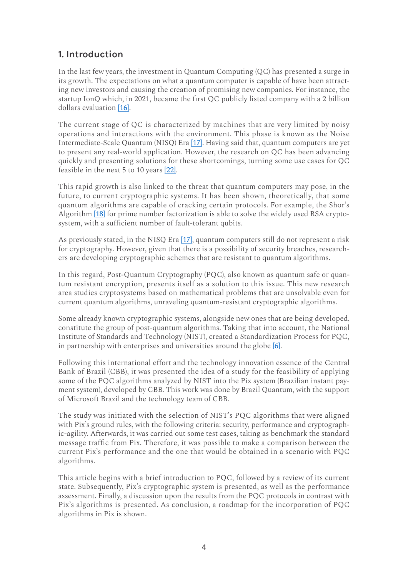## **1. Introduction**

In the last few years, the investment in Quantum Computing (QC) has presented a surge in its growth. The expectations on what a quantum computer is capable of have been attracting new investors and causing the creation of promising new companies. For instance, the startup IonQ which, in 2021, became the first QC publicly listed company with a 2 billion dollars evaluation [16].

The current stage of QC is characterized by machines that are very limited by noisy operations and interactions with the environment. This phase is known as the Noise Intermediate-Scale Quantum (NISQ) Era [17]. Having said that, quantum computers are yet to present any real-world application. However, the research on QC has been advancing quickly and presenting solutions for these shortcomings, turning some use cases for QC feasible in the next 5 to 10 years [22].

This rapid growth is also linked to the threat that quantum computers may pose, in the future, to current cryptographic systems. It has been shown, theoretically, that some quantum algorithms are capable of cracking certain protocols. For example, the Shor's Algorithm [18] for prime number factorization is able to solve the widely used RSA cryptosystem, with a sufficient number of fault-tolerant qubits.

As previously stated, in the NISQ Era [17], quantum computers still do not represent a risk for cryptography. However, given that there is a possibility of security breaches, researchers are developing cryptographic schemes that are resistant to quantum algorithms.

In this regard, Post-Quantum Cryptography (PQC), also known as quantum safe or quantum resistant encryption, presents itself as a solution to this issue. This new research area studies cryptosystems based on mathematical problems that are unsolvable even for current quantum algorithms, unraveling quantum-resistant cryptographic algorithms.

Some already known cryptographic systems, alongside new ones that are being developed, constitute the group of post-quantum algorithms. Taking that into account, the National Institute of Standards and Technology (NIST), created a Standardization Process for PQC, in partnership with enterprises and universities around the globe [6].

Following this international effort and the technology innovation essence of the Central Bank of Brazil (CBB), it was presented the idea of a study for the feasibility of applying some of the PQC algorithms analyzed by NIST into the Pix system (Brazilian instant payment system), developed by CBB. This work was done by Brazil Quantum, with the support of Microsoft Brazil and the technology team of CBB.

The study was initiated with the selection of NIST's PQC algorithms that were aligned with Pix's ground rules, with the following criteria: security, performance and cryptographic-agility. Afterwards, it was carried out some test cases, taking as benchmark the standard message traffic from Pix. Therefore, it was possible to make a comparison between the current Pix's performance and the one that would be obtained in a scenario with PQC algorithms.

This article begins with a brief introduction to PQC, followed by a review of its current state. Subsequently, Pix's cryptographic system is presented, as well as the performance assessment. Finally, a discussion upon the results from the PQC protocols in contrast with Pix's algorithms is presented. As conclusion, a roadmap for the incorporation of PQC algorithms in Pix is shown.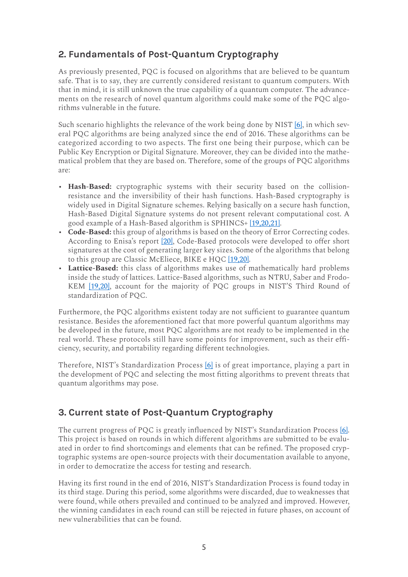## **2. Fundamentals of Post-Quantum Cryptography**

As previously presented, PQC is focused on algorithms that are believed to be quantum safe. That is to say, they are currently considered resistant to quantum computers. With that in mind, it is still unknown the true capability of a quantum computer. The advancements on the research of novel quantum algorithms could make some of the PQC algorithms vulnerable in the future.

Such scenario highlights the relevance of the work being done by NIST [6], in which several PQC algorithms are being analyzed since the end of 2016. These algorithms can be categorized according to two aspects. The first one being their purpose, which can be Public Key Encryption or Digital Signature. Moreover, they can be divided into the mathematical problem that they are based on. Therefore, some of the groups of PQC algorithms are:

- **Hash-Based:** cryptographic systems with their security based on the collisionresistance and the inversibility of their hash functions. Hash-Based cryptography is widely used in Digital Signature schemes. Relying basically on a secure hash function, Hash-Based Digital Signature systems do not present relevant computational cost. A good example of a Hash-Based algorithm is SPHINCS+ [19,20,21].
- **Code-Based:** this group of algorithms is based on the theory of Error Correcting codes. According to Enisa's report [20], Code-Based protocols were developed to offer short signatures at the cost of generating larger key sizes. Some of the algorithms that belong to this group are Classic McEliece, BIKE e HOC [19,20].
- **Lattice-Based:** this class of algorithms makes use of mathematically hard problems inside the study of lattices. Lattice-Based algorithms, such as NTRU, Saber and Frodo-KEM [19,20], account for the majority of PQC groups in NIST'S Third Round of standardization of PQC.

Furthermore, the PQC algorithms existent today are not sufficient to guarantee quantum resistance. Besides the aforementioned fact that more powerful quantum algorithms may be developed in the future, most PQC algorithms are not ready to be implemented in the real world. These protocols still have some points for improvement, such as their efficiency, security, and portability regarding different technologies.

Therefore, NIST's Standardization Process [6] is of great importance, playing a part in the development of PQC and selecting the most fitting algorithms to prevent threats that quantum algorithms may pose.

## **3. Current state of Post-Quantum Cryptography**

The current progress of PQC is greatly influenced by NIST's Standardization Process [6]. This project is based on rounds in which different algorithms are submitted to be evaluated in order to find shortcomings and elements that can be refined. The proposed cryptographic systems are open-source projects with their documentation available to anyone, in order to democratize the access for testing and research.

Having its first round in the end of 2016, NIST's Standardization Process is found today in its third stage. During this period, some algorithms were discarded, due to weaknesses that were found, while others prevailed and continued to be analyzed and improved. However, the winning candidates in each round can still be rejected in future phases, on account of new vulnerabilities that can be found.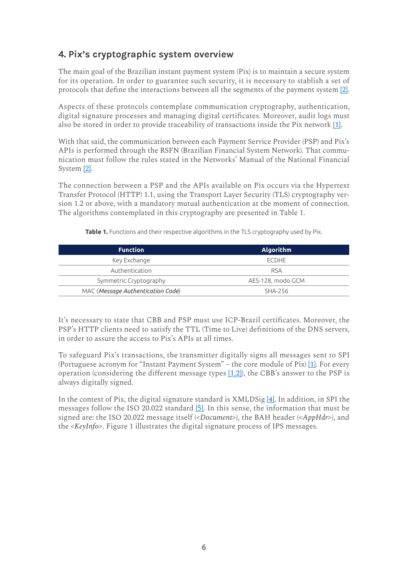## **4. Pix's cryptographic system overview**

The main goal of the Brazilian instant payment system (Pix) is to maintain a secure system for its operation. In order to guarantee such security, it is necessary to stablish a set of protocols that define the interactions between all the segments of the payment system [2].

Aspects of these protocols contemplate communication cryptography, authentication, digital signature processes and managing digital certificates. Moreover, audit logs must also be stored in order to provide traceability of transactions inside the Pix network [1].

With that said, the communication between each Payment Service Provider (PSP) and Pix's APIs is performed through the RSFN (Brazilian Financial System Network). That communication must follow the rules stated in the Networks' Manual of the National Financial System [2].

The connection between a PSP and the APIs available on Pix occurs via the Hypertext Transfer Protocol (HTTP) 1.1, using the Transport Layer Security (TLS) cryptography version 1.2 or above, with a mandatory mutual authentication at the moment of connection. The algorithms contemplated in this cryptography are presented in Table 1.

| <b>Function</b>                   | <b>Algorithm</b>  |  |  |
|-----------------------------------|-------------------|--|--|
| Key Exchange                      | ECDHE             |  |  |
| Authentication                    | <b>RSA</b>        |  |  |
| Symmetric Cryptography            | AES-128, modo GCM |  |  |
| MAC (Message Authentication Code) | SHA-256           |  |  |

**Table 1.** Functions and their respective algorithms in the TLS cryptography used by Pix.

It's necessary to state that CBB and PSP must use ICP-Brazil certificates. Moreover, the PSP's HTTP clients need to satisfy the TTL (Time to Live) definitions of the DNS servers, in order to assure the access to Pix's APIs at all times.

To safeguard Pix's transactions, the transmitter digitally signs all messages sent to SPI (Portuguese acronym for "Instant Payment System" – the core module of Pix) [1]. For every operation (considering the different message types [1,2]), the CBB's answer to the PSP is always digitally signed.

In the context of Pix, the digital signature standard is XMLDSig [4]. In addition, in SPI the messages follow the ISO 20.022 standard [5]. In this sense, the information that must be signed are: the ISO 20.022 message itself (*<Document>*), the BAH header (*<AppHdr>*), and the *<KeyInfo>*. Figure 1 illustrates the digital signature process of IPS messages.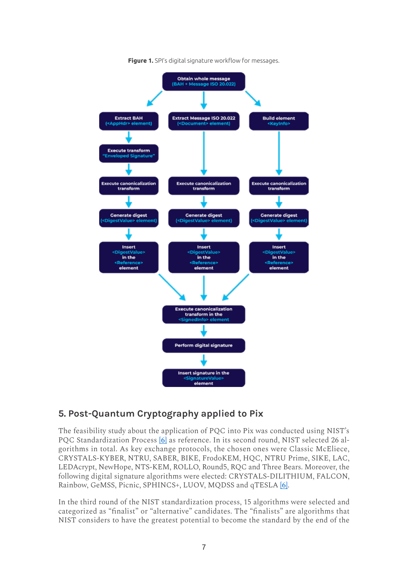

**Figure 1.** SPI's digital signature workflow for messages.

## **5. Post-Quantum Cryptography applied to Pix**

The feasibility study about the application of PQC into Pix was conducted using NIST's PQC Standardization Process [6] as reference. In its second round, NIST selected 26 algorithms in total. As key exchange protocols, the chosen ones were Classic McEliece, CRYSTALS-KYBER, NTRU, SABER, BIKE, FrodoKEM, HQC, NTRU Prime, SIKE, LAC, LEDAcrypt, NewHope, NTS-KEM, ROLLO, Round5, RQC and Three Bears. Moreover, the following digital signature algorithms were elected: CRYSTALS-DILITHIUM, FALCON, Rainbow, GeMSS, Picnic, SPHINCS+, LUOV, MQDSS and qTESLA [6].

In the third round of the NIST standardization process, 15 algorithms were selected and categorized as "finalist" or "alternative" candidates. The "finalists" are algorithms that NIST considers to have the greatest potential to become the standard by the end of the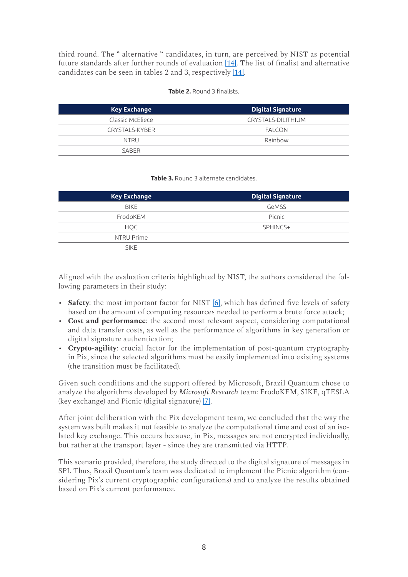third round. The " alternative " candidates, in turn, are perceived by NIST as potential future standards after further rounds of evaluation [14]. The list of finalist and alternative candidates can be seen in tables 2 and 3, respectively [14].

| <b>Table 2.</b> Round 3 finalists. |  |
|------------------------------------|--|
|------------------------------------|--|

| <b>Key Exchange</b> | <b>Digital Signature</b> |
|---------------------|--------------------------|
| Classic McEliece    | CRYSTALS-DILITHIUM       |
| CRYSTALS-KYBER      | <b>FALCON</b>            |
| <b>NTRU</b>         | Rainbow                  |
| SARFR               |                          |

#### **Table 3.** Round 3 alternate candidates.

| <b>Key Exchange</b> | <b>Digital Signature</b> |
|---------------------|--------------------------|
| <b>BIKE</b>         | GeMSS                    |
| FrodoKEM            | Picnic                   |
| HQC                 | SPHINCS+                 |
| NTRU Prime          |                          |
| <b>SIKE</b>         |                          |
|                     |                          |

Aligned with the evaluation criteria highlighted by NIST, the authors considered the following parameters in their study:

- **Safety**: the most important factor for NIST [6], which has defined five levels of safety based on the amount of computing resources needed to perform a brute force attack;
- **Cost and performance**: the second most relevant aspect, considering computational and data transfer costs, as well as the performance of algorithms in key generation or digital signature authentication;
- **Crypto-agility**: crucial factor for the implementation of post-quantum cryptography in Pix, since the selected algorithms must be easily implemented into existing systems (the transition must be facilitated).

Given such conditions and the support offered by Microsoft, Brazil Quantum chose to analyze the algorithms developed by *Microsoft Research* team: FrodoKEM, SIKE, qTESLA (key exchange) and Picnic (digital signature) [7].

After joint deliberation with the Pix development team, we concluded that the way the system was built makes it not feasible to analyze the computational time and cost of an isolated key exchange. This occurs because, in Pix, messages are not encrypted individually, but rather at the transport layer - since they are transmitted via HTTP.

This scenario provided, therefore, the study directed to the digital signature of messages in SPI. Thus, Brazil Quantum's team was dedicated to implement the Picnic algorithm (considering Pix's current cryptographic configurations) and to analyze the results obtained based on Pix's current performance.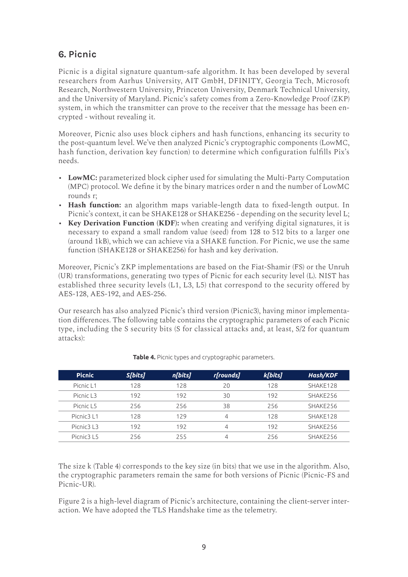# **6. Picnic**

Picnic is a digital signature quantum-safe algorithm. It has been developed by several researchers from Aarhus University, AIT GmbH, DFINITY, Georgia Tech, Microsoft Research, Northwestern University, Princeton University, Denmark Technical University, and the University of Maryland. Picnic's safety comes from a Zero-Knowledge Proof (ZKP) system, in which the transmitter can prove to the receiver that the message has been encrypted - without revealing it.

Moreover, Picnic also uses block ciphers and hash functions, enhancing its security to the post-quantum level. We've then analyzed Picnic's cryptographic components (LowMC, hash function, derivation key function) to determine which configuration fulfills Pix's needs.

- **LowMC:** parameterized block cipher used for simulating the Multi-Party Computation (MPC) protocol. We define it by the binary matrices order n and the number of LowMC rounds r;
- **Hash function:** an algorithm maps variable-length data to fixed-length output. In Picnic's context, it can be SHAKE128 or SHAKE256 - depending on the security level L;
- **Key Derivation Function (KDF):** when creating and verifying digital signatures, it is necessary to expand a small random value (seed) from 128 to 512 bits to a larger one (around 1kB), which we can achieve via a SHAKE function. For Picnic, we use the same function (SHAKE128 or SHAKE256) for hash and key derivation.

Moreover, Picnic's ZKP implementations are based on the Fiat-Shamir (FS) or the Unruh (UR) transformations, generating two types of Picnic for each security level (L). NIST has established three security levels (L1, L3, L5) that correspond to the security offered by AES-128, AES-192, and AES-256.

Our research has also analyzed Picnic's third version (Picnic3), having minor implementation differences. The following table contains the cryptographic parameters of each Picnic type, including the S security bits (S for classical attacks and, at least, S/2 for quantum attacks):

| <b>Picnic</b>                      | S[bits] | n[bits] | r[rounds] | k[bits] | <b>Hash/KDF</b> |
|------------------------------------|---------|---------|-----------|---------|-----------------|
| Picnic L1                          | 128     | 128     | 20        | 128     | SHAKE128        |
| Picnic L3                          | 192     | 192     | 30        | 192     | SHAKE256        |
| Picnic L5                          | 256     | 256     | 38        | 256     | SHAKE256        |
| Picnic <sub>3</sub> L <sub>1</sub> | 128     | 129     | 4         | 128     | SHAKE128        |
| Picnic3 L3                         | 192     | 192     | 4         | 192     | SHAKE256        |
| Picnic3 L5                         | 256     | 255     | 4         | 256     | SHAKE256        |

**Table 4.** Picnic types and cryptographic parameters.

The size k (Table 4) corresponds to the key size (in bits) that we use in the algorithm. Also, the cryptographic parameters remain the same for both versions of Picnic (Picnic-FS and Picnic-UR).

Figure 2 is a high-level diagram of Picnic's architecture, containing the client-server interaction. We have adopted the TLS Handshake time as the telemetry.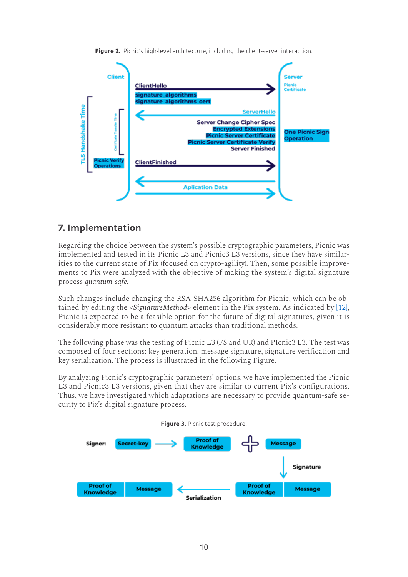

**Figure 2.** Picnic's high-level architecture, including the client-server interaction.

## **7. Implementation**

Regarding the choice between the system's possible cryptographic parameters, Picnic was implemented and tested in its Picnic L3 and Picnic3 L3 versions, since they have similarities to the current state of Pix (focused on crypto-agility). Then, some possible improvements to Pix were analyzed with the objective of making the system's digital signature process *quantum-safe.*

Such changes include changing the RSA-SHA256 algorithm for Picnic, which can be obtained by editing the *<SignatureMethod>* element in the Pix system. As indicated by [12], Picnic is expected to be a feasible option for the future of digital signatures, given it is considerably more resistant to quantum attacks than traditional methods.

The following phase was the testing of Picnic L3 (FS and UR) and PIcnic3 L3. The test was composed of four sections: key generation, message signature, signature verification and key serialization. The process is illustrated in the following Figure.

By analyzing Picnic's cryptographic parameters' options, we have implemented the Picnic L3 and Picnic3 L3 versions, given that they are similar to current Pix's configurations. Thus, we have investigated which adaptations are necessary to provide quantum-safe security to Pix's digital signature process.

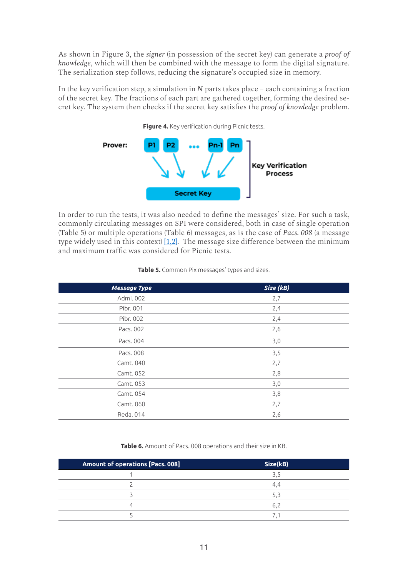As shown in Figure 3, the *signer* (in possession of the secret key) can generate a *proof of knowledge*, which will then be combined with the message to form the digital signature. The serialization step follows, reducing the signature's occupied size in memory.

In the key verification step, a simulation in *N* parts takes place – each containing a fraction of the secret key. The fractions of each part are gathered together, forming the desired secret key. The system then checks if the secret key satisfies the *proof of knowledge* problem.



In order to run the tests, it was also needed to define the messages' size. For such a task, commonly circulating messages on SPI were considered, both in case of single operation (Table 5) or multiple operations (Table 6) messages, as is the case of *Pacs. 008* (a message type widely used in this context)  $[1,2]$ . The message size difference between the minimum and maximum traffic was considered for Picnic tests.

| <b>Message Type</b> | Size (kB) |  |  |  |  |
|---------------------|-----------|--|--|--|--|
| Admi. 002           | 2,7       |  |  |  |  |
| Pibr. 001           | 2,4       |  |  |  |  |
| Pibr. 002           | 2,4       |  |  |  |  |
| Pacs. 002           | 2,6       |  |  |  |  |
| Pacs. 004           | 3,0       |  |  |  |  |
| Pacs. 008           | 3,5       |  |  |  |  |
| Camt. 040           | 2,7       |  |  |  |  |
| Camt. 052           | 2,8       |  |  |  |  |
| Camt. 053           | 3,0       |  |  |  |  |
| Camt. 054           | 3,8       |  |  |  |  |
| Camt. 060           | 2,7       |  |  |  |  |
| Reda. 014           | 2,6       |  |  |  |  |

#### **Table 5.** Common Pix messages' types and sizes.

**Table 6.** Amount of Pacs. 008 operations and their size in KB.

| Amount of operations [Pacs. 008] | Size(kB) |
|----------------------------------|----------|
|                                  |          |
|                                  | 4.4      |
|                                  | 5.       |
|                                  |          |
|                                  |          |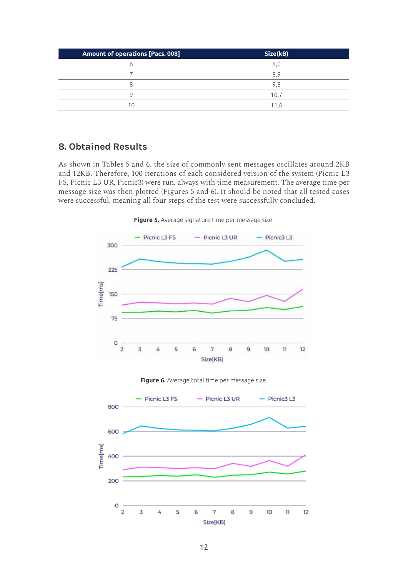| Amount of operations [Pacs. 008] | Size(kB) |  |  |
|----------------------------------|----------|--|--|
|                                  | 8.0      |  |  |
|                                  | 89       |  |  |
|                                  | 9.8      |  |  |
|                                  | 10.7     |  |  |
| 10                               | 11.6     |  |  |

### **8. Obtained Results**

As shown in Tables 5 and 6, the size of commonly sent messages oscillates around 2KB and 12KB. Therefore, 100 iterations of each considered version of the system (Picnic L3 FS, Picnic L3 UR, Picnic3) were run, always with time measurement. The average time per message size was then plotted (Figures 5 and 6). It should be noted that all tested cases were successful, meaning all four steps of the test were successfully concluded.

**Figure 5.** Average signature time per message size.





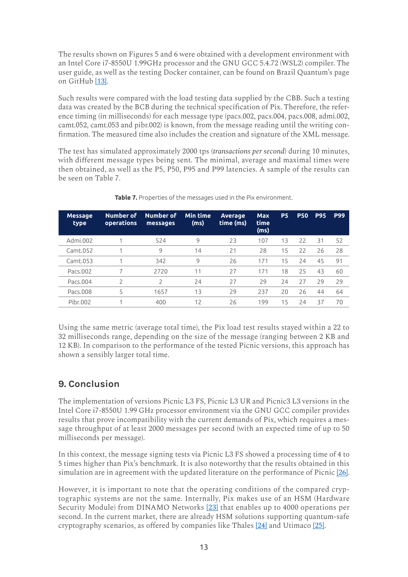The results shown on Figures 5 and 6 were obtained with a development environment with an Intel Core i7-8550U 1.99GHz processor and the GNU GCC 5.4.72 (WSL2) compiler. The user guide, as well as the testing Docker container, can be found on Brazil Quantum's page on GitHub [13].

Such results were compared with the load testing data supplied by the CBB. Such a testing data was created by the BCB during the technical specification of Pix. Therefore, the reference timing (in milliseconds) for each message type (pacs.002, pacs.004, pacs.008, admi.002, camt.052, camt.053 and pibr.002) is known, from the message reading until the writing confirmation. The measured time also includes the creation and signature of the XML message.

The test has simulated approximately 2000 tps (*transactions per second*) during 10 minutes, with different message types being sent. The minimal, average and maximal times were then obtained, as well as the P5, P50, P95 and P99 latencies. A sample of the results can be seen on Table 7.

| Number of<br><b>operations</b> | Number of<br>messages    | Min time<br>(ms) | <b>Average</b><br>time (ms) | <b>Max</b><br>time<br>(ms) | <b>P5</b> | <b>P50</b> | <b>P95</b> | <b>P99</b> |
|--------------------------------|--------------------------|------------------|-----------------------------|----------------------------|-----------|------------|------------|------------|
|                                | 524                      | 9                | 23                          | 107                        | 13        | 22         | 31         | 52         |
|                                | 9                        | 14               | 21                          | 28                         | 15        | 22         | 26         | 28         |
| 1                              | 342                      | 9                | 26                          | 171                        | 15        | 24         | 45         | 91         |
|                                | 2720                     | 11               | 27                          | 171                        | 18        | 25         | 43         | 60         |
| 2                              | $\overline{\phantom{0}}$ | 24               | 27                          | 29                         | 24        | 27         | 29         | 29         |
| 5                              | 1657                     | 13               | 29                          | 237                        | 20        | 26         | 44         | 64         |
|                                | 400                      | 12               | 26                          | 199                        | 15        | 24         | 37         | 70         |
|                                |                          |                  |                             |                            |           |            |            |            |

**Table 7.** Properties of the messages used in the Pix environment.

Using the same metric (average total time), the Pix load test results stayed within a 22 to 32 milliseconds range, depending on the size of the message (ranging between 2 KB and 12 KB). In comparison to the performance of the tested Picnic versions, this approach has shown a sensibly larger total time.

# **9. Conclusion**

The implementation of versions Picnic L3 FS, Picnic L3 UR and Picnic3 L3 versions in the Intel Core i7-8550U 1.99 GHz processor environment via the GNU GCC compiler provides results that prove incompatibility with the current demands of Pix, which requires a message throughput of at least 2000 messages per second (with an expected time of up to 50 milliseconds per message).

In this context, the message signing tests via Picnic L3 FS showed a processing time of 4 to 5 times higher than Pix's benchmark. It is also noteworthy that the results obtained in this simulation are in agreement with the updated literature on the performance of Picnic [26].

However, it is important to note that the operating conditions of the compared cryptographic systems are not the same. Internally, Pix makes use of an HSM (Hardware Security Module) from DINAMO Networks [23] that enables up to 4000 operations per second. In the current market, there are already HSM solutions supporting quantum-safe cryptography scenarios, as offered by companies like Thales [24] and Utimaco [25].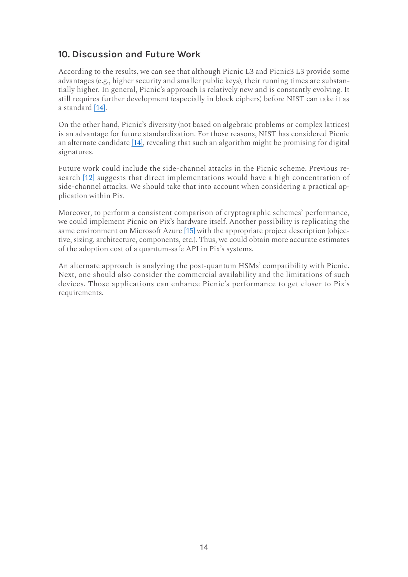## **10. Discussion and Future Work**

According to the results, we can see that although Picnic L3 and Picnic3 L3 provide some advantages (e.g., higher security and smaller public keys), their running times are substantially higher. In general, Picnic's approach is relatively new and is constantly evolving. It still requires further development (especially in block ciphers) before NIST can take it as a standard [14].

On the other hand, Picnic's diversity (not based on algebraic problems or complex lattices) is an advantage for future standardization. For those reasons, NIST has considered Picnic an alternate candidate [14], revealing that such an algorithm might be promising for digital signatures.

Future work could include the side-channel attacks in the Picnic scheme. Previous research [12] suggests that direct implementations would have a high concentration of side-channel attacks. We should take that into account when considering a practical application within Pix.

Moreover, to perform a consistent comparison of cryptographic schemes' performance, we could implement Picnic on Pix's hardware itself. Another possibility is replicating the same environment on Microsoft Azure [15] with the appropriate project description (objective, sizing, architecture, components, etc.). Thus, we could obtain more accurate estimates of the adoption cost of a quantum-safe API in Pix's systems.

An alternate approach is analyzing the post-quantum HSMs' compatibility with Picnic. Next, one should also consider the commercial availability and the limitations of such devices. Those applications can enhance Picnic's performance to get closer to Pix's requirements.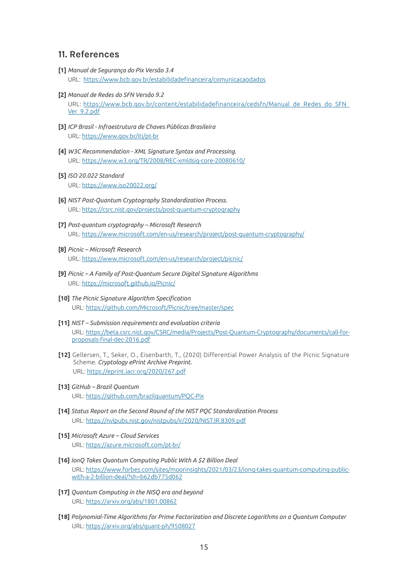#### **11. References**

- **[1]** *Manual de Segurança do Pix Versão 3.4* URL: https://www.bcb.gov.br/estabilidadefinanceira/comunicacaodados
- **[2]** *Manual de Redes do SFN Versão 9.2*  URL: https://www.bcb.gov.br/content/estabilidadefinanceira/cedsfn/Manual\_de\_Redes\_do\_SFN\_ Ver\_9.2.pdf
- **[3]** *ICP Brasil Infraestrutura de Chaves Públicas Brasileira* URL: https://www.gov.br/iti/pt-br
- **[4]** *W3C Recommendation XML Signature Syntax and Processing.* URL: https://www.w3.org/TR/2008/REC-xmldsig-core-20080610/
- **[5]** *ISO 20.022 Standard* URL: https://www.iso20022.org/
- **[6]** *NIST Post-Quantum Cryptography Standardization Process.* URL: https://csrc.nist.gov/projects/post-quantum-cryptography
- **[7]** *Post-quantum cryptography Microsoft Research* URL: https://www.microsoft.com/en-us/research/project/post-quantum-cryptography/
- **[8]** *Picnic Microsoft Research* URL: https://www.microsoft.com/en-us/research/project/picnic/
- **[9]** *Picnic A Family of Post-Quantum Secure Digital Signature Algorithms* URL: https://microsoft.github.io/Picnic/
- **[10]** *The Picnic Signature Algorithm Specification* URL: https://github.com/Microsoft/Picnic/tree/master/spec
- **[11]** *NIST Submission requirements and evaluation criteria* URL: https://beta.csrc.nist.gov/CSRC/media/Projects/Post-Quantum-Cryptography/documents/call-forproposals-final-dec-2016.pdf
- **[12]** Gellersen, T., Seker, O., Eisenbarth, T., (2020) Differential Power Analysis of the Picnic Signature Scheme. *Cryptology ePrint Archive Preprint.* URL: https://eprint.iacr.org/2020/267.pdf
- **[13]** *GitHub Brazil Quantum* URL: https://github.com/brazilquantum/PQC-Pix
- **[14]** *Status Report on the Second Round of the NIST PQC Standardization Process* URL: https://nvlpubs.nist.gov/nistpubs/ir/2020/NIST.IR.8309.pdf
- **[15]** *Microsoft Azure Cloud Services* URL: https://azure.microsoft.com/pt-br/
- **[16]** *IonQ Takes Quantum Computing Public With A \$2 Billion Deal* URL: https://www.forbes.com/sites/moorinsights/2021/03/23/ionq-takes-quantum-computing-publicwith-a-2-billion-deal/?sh=b62db775d062
- **[17]** *Quantum Computing in the NISQ era and beyond* URL: https://arxiv.org/abs/1801.00862
- **[18]** *Polynomial-Time Algorithms for Prime Factorization and Discrete Logarithms on a Quantum Computer* URL: https://arxiv.org/abs/quant-ph/9508027